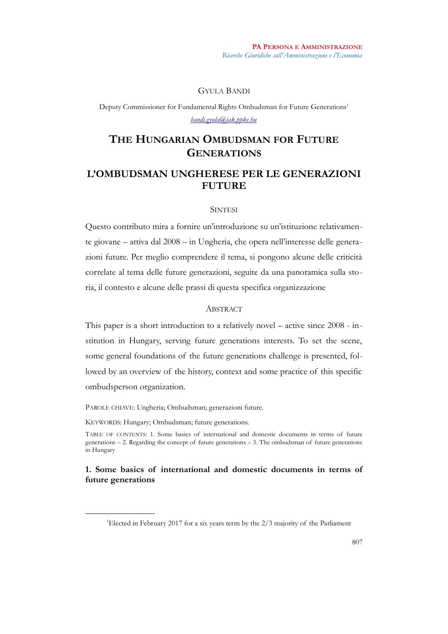## GYULA BANDI

Deputy Commissioner for Fundamental Rights Ombudsman for Future Generations<sup>[1](#page-0-0)</sup> *[bandi.gyula@jak.ppke.hu](mailto:bandi.gyula@jak.ppke.hu)*

# **THE HUNGARIAN OMBUDSMAN FOR FUTURE GENERATIONS**

## **L'OMBUDSMAN UNGHERESE PER LE GENERAZIONI FUTURE**

## **SINTESI**

Questo contributo mira a fornire un'introduzione su un'istituzione relativamente giovane – attiva dal 2008 – in Ungheria, che opera nell'interesse delle generazioni future. Per meglio comprendere il tema, si pongono alcune delle criticità correlate al tema delle future generazioni, seguite da una panoramica sulla storia, il contesto e alcune delle prassi di questa specifica organizzazione

## **ABSTRACT**

This paper is a short introduction to a relatively novel – active since 2008 - institution in Hungary, serving future generations interests. To set the scene, some general foundations of the future generations challenge is presented, followed by an overview of the history, context and some practice of this specific ombudsperson organization.

PAROLE CHIAVE: Ungheria; Ombudsman; generazioni future.

KEYWORDS: Hungary; Ombudsman; future generations.

TABLE OF CONTENTS: 1. Some basics of international and domestic documents in terms of future generations – 2. Regarding the concept of future generations – 3. The ombudsman of future generations in Hungary

## **1. Some basics of international and domestic documents in terms of future generations**

<span id="page-0-0"></span><sup>&</sup>lt;sup>1</sup>Elected in February 2017 for a six years term by the 2/3 majority of the Parliament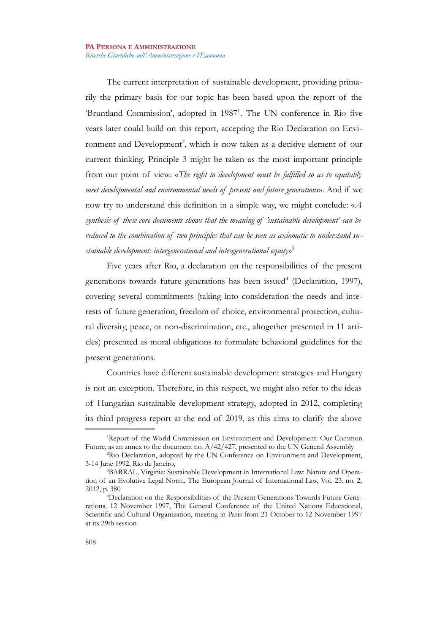The current interpretation of sustainable development, providing primarily the primary basis for our topic has been based upon the report of the 'Bruntland Commission', adopted in [1](#page-1-0)987<sup>1</sup>. The UN conference in Rio five years later could build on this report, accepting the Rio Declaration on Envi-ronment and Development<sup>[2](#page-1-1)</sup>, which is now taken as a decisive element of our current thinking. Principle 3 might be taken as the most important principle from our point of view: «*The right to development must be fulfilled so as to equitably meet developmental and environmental needs of present and future generations*». And if we now try to understand this definition in a simple way, we might conclude: «*A synthesis of these core documents shows that the meaning of 'sustainable development' can be reduced to the combination of two principles that can be seen as axiomatic to understand sustainable development: intergenerational and intragenerational equity*» [3](#page-1-2)

Five years after Rio, a declaration on the responsibilities of the present generations towards future generations has been issued<sup>[4](#page-1-3)</sup> (Declaration, 1997), covering several commitments (taking into consideration the needs and interests of future generation, freedom of choice, environmental protection, cultural diversity, peace, or non-discrimination, etc., altogether presented in 11 articles) presented as moral obligations to formulate behavioral guidelines for the present generations.

Countries have different sustainable development strategies and Hungary is not an exception. Therefore, in this respect, we might also refer to the ideas of Hungarian sustainable development strategy, adopted in 2012, completing its third progress report at the end of 2019, as this aims to clarify the above

<span id="page-1-0"></span><sup>1</sup>Report of the World Commission on Environment and Development: Our Common Future, as an annex to the document no. A/42/427, presented to the UN General Assembly

<span id="page-1-1"></span><sup>&</sup>lt;sup>2</sup>Rio Declaration, adopted by the UN Conference on Environment and Development, 3-14 June 1992, Rio de Janeiro,

<span id="page-1-2"></span><sup>3</sup>BARRAL, Virginie: Sustainable Development in International Law: Nature and Operation of an Evolutive Legal Norm, The European Journal of International Law, Vol. 23. no. 2, 2012, p. 380

<span id="page-1-3"></span><sup>4</sup>Declaration on the Responsibilities of the Present Generations Towards Future Generations, 12 November 1997, The General Conference of the United Nations Educational, Scientific and Cultural Organization, meeting in Paris from 21 October to 12 November 1997 at its 29th session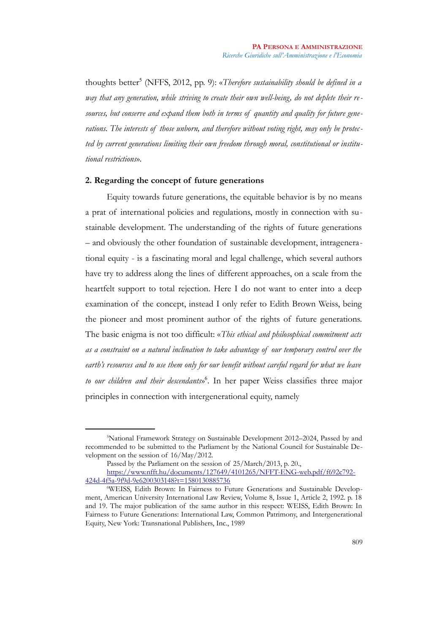thoughts better<sup>[5](#page-2-0)</sup> (NFFS, 2012, pp. 9): «*Therefore sustainability should be defined in a way that any generation, while striving to create their own well-being, do not deplete their resources, but conserve and expand them both in terms of quantity and quality for future generations. The interests of those unborn, and therefore without voting right, may only be protected by current generations limiting their own freedom through moral, constitutional or institutional restrictions*».

#### **2. Regarding the concept of future generations**

Equity towards future generations, the equitable behavior is by no means a prat of international policies and regulations, mostly in connection with sustainable development. The understanding of the rights of future generations – and obviously the other foundation of sustainable development, intragenerational equity - is a fascinating moral and legal challenge, which several authors have try to address along the lines of different approaches, on a scale from the heartfelt support to total rejection. Here I do not want to enter into a deep examination of the concept, instead I only refer to Edith Brown Weiss, being the pioneer and most prominent author of the rights of future generations. The basic enigma is not too difficult: «*This ethical and philosophical commitment acts as a constraint on a natural inclination to take advantage of our temporary control over the earth's resources and to use them only for our benefit without careful regard for what we leave to our children and their descendants*» [6](#page-2-1) . In her paper Weiss classifies three major principles in connection with intergenerational equity, namely

<span id="page-2-0"></span><sup>5</sup>National Framework Strategy on Sustainable Development 2012–2024, Passed by and recommended to be submitted to the Parliament by the National Council for Sustainable Development on the session of 16/May/2012.

Passed by the Parliament on the session of 25/March/2013, p. 20.,

[https://www.nfft.hu/documents/127649/4101265/NFFT-ENG-web.pdf/f692c792-](https://www.nfft.hu/documents/127649/4101265/NFFT-ENG-web.pdf/f692c792-424d-4f5a-9f9d-9e6200303148?t=1580130885736) [424d-4f5a-9f9d-9e6200303148?t=1580130885736](https://www.nfft.hu/documents/127649/4101265/NFFT-ENG-web.pdf/f692c792-424d-4f5a-9f9d-9e6200303148?t=1580130885736)

<span id="page-2-1"></span><sup>6</sup>WEISS, Edith Brown: In Fairness to Future Generations and Sustainable Development, American University International Law Review, Volume 8, Issue 1, Article 2, 1992. p. 18 and 19. The major publication of the same author in this respect: WEISS, Edith Brown: In Fairness to Future Generations: International Law, Common Patrimony, and Intergenerational Equity, New York: Transnational Publishers, Inc., 1989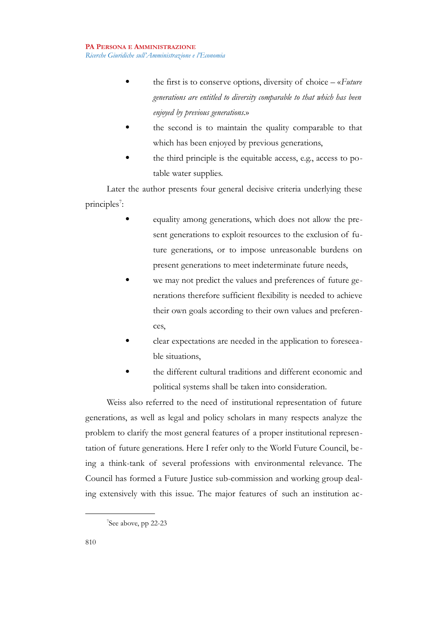- the first is to conserve options, diversity of choice «*Future generations are entitled to diversity comparable to that which has been enjoyed by previous generations.*»
- the second is to maintain the quality comparable to that which has been enjoyed by previous generations,
- the third principle is the equitable access, e.g., access to potable water supplies.

Later the author presents four general decisive criteria underlying these principles<sup>[7](#page-3-0)</sup>:

- equality among generations, which does not allow the present generations to exploit resources to the exclusion of future generations, or to impose unreasonable burdens on present generations to meet indeterminate future needs,
- we may not predict the values and preferences of future generations therefore sufficient flexibility is needed to achieve their own goals according to their own values and preferences,
- clear expectations are needed in the application to foreseeable situations,
- the different cultural traditions and different economic and political systems shall be taken into consideration.

Weiss also referred to the need of institutional representation of future generations, as well as legal and policy scholars in many respects analyze the problem to clarify the most general features of a proper institutional representation of future generations. Here I refer only to the World Future Council, being a think-tank of several professions with environmental relevance. The Council has formed a Future Justice sub-commission and working group dealing extensively with this issue. The major features of such an institution ac-

<span id="page-3-0"></span><sup>7</sup> See above, pp 22-23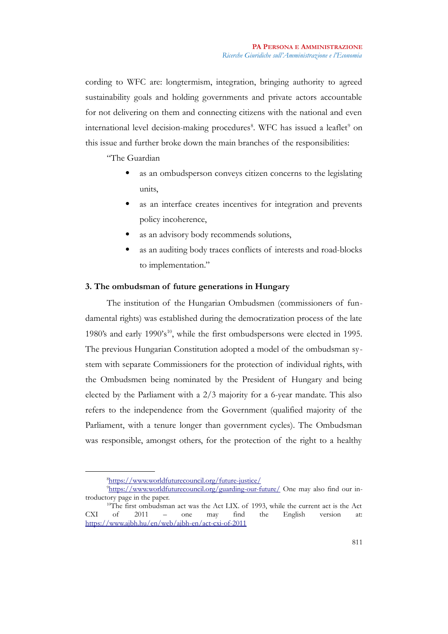cording to WFC are: longtermism, integration, bringing authority to agreed sustainability goals and holding governments and private actors accountable for not delivering on them and connecting citizens with the national and even international level decision-making procedures<sup>[8](#page-4-0)</sup>. WFC has issued a leaflet<sup>[9](#page-4-1)</sup> on this issue and further broke down the main branches of the responsibilities:

## "The Guardian

- as an ombudsperson conveys citizen concerns to the legislating units,
- as an interface creates incentives for integration and prevents policy incoherence,
- as an advisory body recommends solutions,
- as an auditing body traces conflicts of interests and road-blocks to implementation."

## **3. The ombudsman of future generations in Hungary**

The institution of the Hungarian Ombudsmen (commissioners of fundamental rights) was established during the democratization process of the late 1980's and early 1990's<sup>[10](#page-4-2)</sup>, while the first ombudspersons were elected in 1995. The previous Hungarian Constitution adopted a model of the ombudsman system with separate Commissioners for the protection of individual rights, with the Ombudsmen being nominated by the President of Hungary and being elected by the Parliament with a 2/3 majority for a 6-year mandate. This also refers to the independence from the Government (qualified majority of the Parliament, with a tenure longer than government cycles). The Ombudsman was responsible, amongst others, for the protection of the right to a healthy

<span id="page-4-2"></span><span id="page-4-1"></span><span id="page-4-0"></span><sup>8</sup> <https://www.worldfuturecouncil.org/future-justice/>

<sup>9</sup><https://www.worldfuturecouncil.org/guarding-our-future/>One may also find our introductory page in the paper.

<sup>&</sup>lt;sup>10</sup>The first ombudsman act was the Act LIX. of 1993, while the current act is the Act CXI of 2011 – one may find the English version at: <https://www.ajbh.hu/en/web/ajbh-en/act-cxi-of-2011>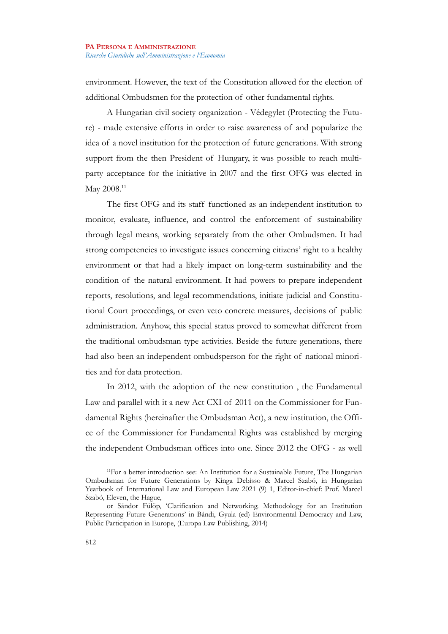environment. However, the text of the Constitution allowed for the election of additional Ombudsmen for the protection of other fundamental rights.

A Hungarian civil society organization - Védegylet (Protecting the Future) - made extensive efforts in order to raise awareness of and popularize the idea of a novel institution for the protection of future generations. With strong support from the then President of Hungary, it was possible to reach multiparty acceptance for the initiative in 2007 and the first OFG was elected in May 2008.<sup>[11](#page-5-0)</sup>

The first OFG and its staff functioned as an independent institution to monitor, evaluate, influence, and control the enforcement of sustainability through legal means, working separately from the other Ombudsmen. It had strong competencies to investigate issues concerning citizens' right to a healthy environment or that had a likely impact on long-term sustainability and the condition of the natural environment. It had powers to prepare independent reports, resolutions, and legal recommendations, initiate judicial and Constitutional Court proceedings, or even veto concrete measures, decisions of public administration. Anyhow, this special status proved to somewhat different from the traditional ombudsman type activities. Beside the future generations, there had also been an independent ombudsperson for the right of national minorities and for data protection.

In 2012, with the adoption of the new constitution , the Fundamental Law and parallel with it a new Act CXI of 2011 on the Commissioner for Fundamental Rights (hereinafter the Ombudsman Act), a new institution, the Office of the Commissioner for Fundamental Rights was established by merging the independent Ombudsman offices into one. Since 2012 the OFG - as well

<span id="page-5-0"></span><sup>&</sup>lt;sup>11</sup>For a better introduction see: An Institution for a Sustainable Future, The Hungarian Ombudsman for Future Generations by Kinga Debisso & Marcel Szabó, in Hungarian Yearbook of International Law and European Law 2021 (9) 1, Editor-in-chief: Prof. Marcel Szabó, Eleven, the Hague,

or Sándor Fülöp, 'Clarification and Networking. Methodology for an Institution Representing Future Generations' in Bándi, Gyula (ed) Environmental Democracy and Law, Public Participation in Europe, (Europa Law Publishing, 2014)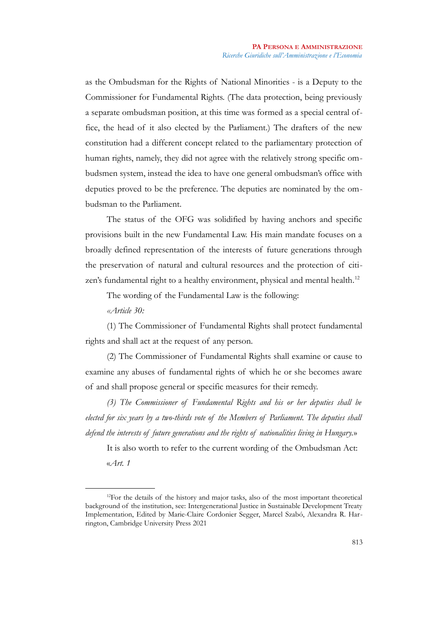as the Ombudsman for the Rights of National Minorities - is a Deputy to the Commissioner for Fundamental Rights. (The data protection, being previously a separate ombudsman position, at this time was formed as a special central office, the head of it also elected by the Parliament.) The drafters of the new constitution had a different concept related to the parliamentary protection of human rights, namely, they did not agree with the relatively strong specific ombudsmen system, instead the idea to have one general ombudsman's office with deputies proved to be the preference. The deputies are nominated by the ombudsman to the Parliament.

The status of the OFG was solidified by having anchors and specific provisions built in the new Fundamental Law. His main mandate focuses on a broadly defined representation of the interests of future generations through the preservation of natural and cultural resources and the protection of citi-zen's fundamental right to a healthy environment, physical and mental health.<sup>[12](#page-6-0)</sup>

The wording of the Fundamental Law is the following:

*«Article 30:*

(1) The Commissioner of Fundamental Rights shall protect fundamental rights and shall act at the request of any person.

(2) The Commissioner of Fundamental Rights shall examine or cause to examine any abuses of fundamental rights of which he or she becomes aware of and shall propose general or specific measures for their remedy.

*(3) The Commissioner of Fundamental Rights and his or her deputies shall be elected for six years by a two-thirds vote of the Members of Parliament. The deputies shall defend the interests of future generations and the rights of nationalities living in Hungary.*»

It is also worth to refer to the current wording of the Ombudsman Act: «*Art. 1* 

<span id="page-6-0"></span><sup>&</sup>lt;sup>12</sup>For the details of the history and major tasks, also of the most important theoretical background of the institution, see: Intergenerational Justice in Sustainable Development Treaty Implementation, Edited by Marie-Claire Cordonier Segger, Marcel Szabó, Alexandra R. Harrington, Cambridge University Press 2021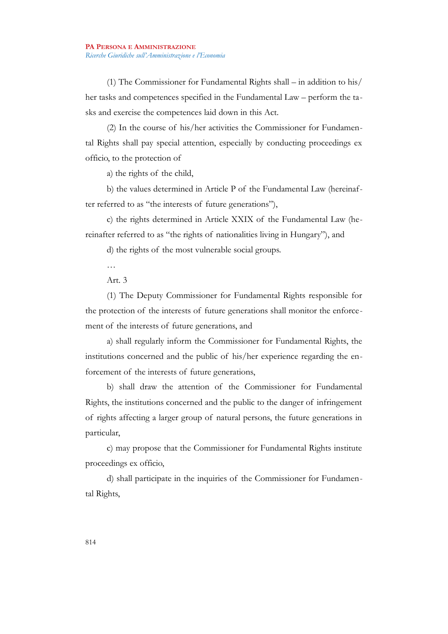(1) The Commissioner for Fundamental Rights shall – in addition to his/ her tasks and competences specified in the Fundamental Law – perform the tasks and exercise the competences laid down in this Act.

(2) In the course of his/her activities the Commissioner for Fundamental Rights shall pay special attention, especially by conducting proceedings ex officio, to the protection of

a) the rights of the child,

b) the values determined in Article P of the Fundamental Law (hereinafter referred to as "the interests of future generations"),

c) the rights determined in Article XXIX of the Fundamental Law (hereinafter referred to as "the rights of nationalities living in Hungary"), and

d) the rights of the most vulnerable social groups.

…

Art. 3

(1) The Deputy Commissioner for Fundamental Rights responsible for the protection of the interests of future generations shall monitor the enforcement of the interests of future generations, and

a) shall regularly inform the Commissioner for Fundamental Rights, the institutions concerned and the public of his/her experience regarding the enforcement of the interests of future generations,

b) shall draw the attention of the Commissioner for Fundamental Rights, the institutions concerned and the public to the danger of infringement of rights affecting a larger group of natural persons, the future generations in particular,

c) may propose that the Commissioner for Fundamental Rights institute proceedings ex officio,

d) shall participate in the inquiries of the Commissioner for Fundamental Rights,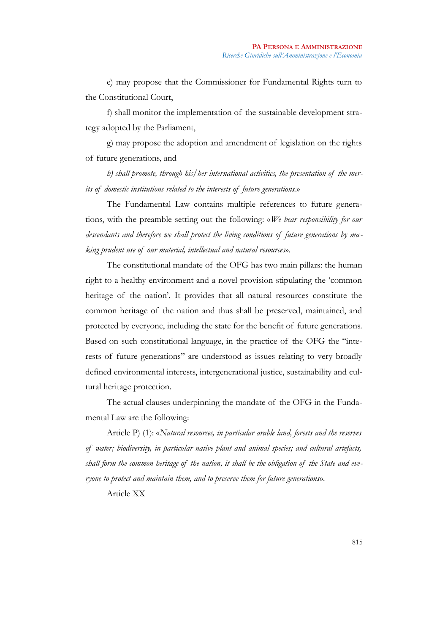e) may propose that the Commissioner for Fundamental Rights turn to the Constitutional Court,

f) shall monitor the implementation of the sustainable development strategy adopted by the Parliament,

g) may propose the adoption and amendment of legislation on the rights of future generations, and

*h) shall promote, through his/her international activities, the presentation of the merits of domestic institutions related to the interests of future generations.*»

The Fundamental Law contains multiple references to future generations, with the preamble setting out the following: «*We bear responsibility for our descendants and therefore we shall protect the living conditions of future generations by ma king prudent use of our material, intellectual and natural resources*».

The constitutional mandate of the OFG has two main pillars: the human right to a healthy environment and a novel provision stipulating the 'common heritage of the nation'. It provides that all natural resources constitute the common heritage of the nation and thus shall be preserved, maintained, and protected by everyone, including the state for the benefit of future generations. Based on such constitutional language, in the practice of the OFG the "interests of future generations" are understood as issues relating to very broadly defined environmental interests, intergenerational justice, sustainability and cultural heritage protection.

The actual clauses underpinning the mandate of the OFG in the Fundamental Law are the following:

Article P) (1): «*Natural resources, in particular arable land, forests and the reserves of water; biodiversity, in particular native plant and animal species; and cultural artefacts, shall form the common heritage of the nation, it shall be the obligation of the State and everyone to protect and maintain them, and to preserve them for future generations*»*.*

Article XX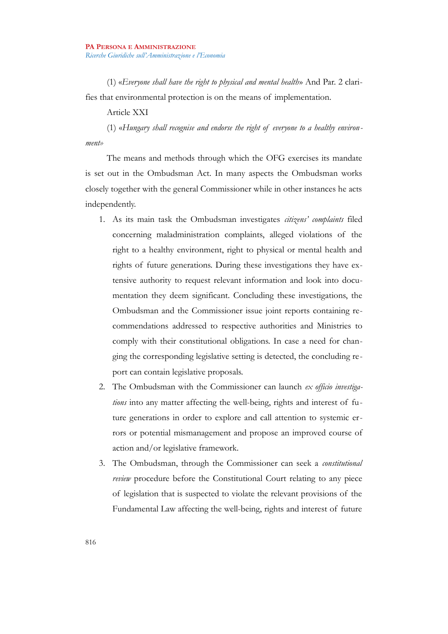(1) «*Everyone shall have the right to physical and mental health*» And Par. 2 clarifies that environmental protection is on the means of implementation.

## Article XXI

(1) «*Hungary shall recognise and endorse the right of everyone to a healthy environment»*

The means and methods through which the OFG exercises its mandate is set out in the Ombudsman Act. In many aspects the Ombudsman works closely together with the general Commissioner while in other instances he acts independently.

- 1. As its main task the Ombudsman investigates *citizens' complaints* filed concerning maladministration complaints, alleged violations of the right to a healthy environment, right to physical or mental health and rights of future generations. During these investigations they have extensive authority to request relevant information and look into documentation they deem significant. Concluding these investigations, the Ombudsman and the Commissioner issue joint reports containing recommendations addressed to respective authorities and Ministries to comply with their constitutional obligations. In case a need for changing the corresponding legislative setting is detected, the concluding report can contain legislative proposals.
- 2. The Ombudsman with the Commissioner can launch *ex officio investigations* into any matter affecting the well-being, rights and interest of future generations in order to explore and call attention to systemic errors or potential mismanagement and propose an improved course of action and/or legislative framework.
- 3. The Ombudsman, through the Commissioner can seek a *constitutional review* procedure before the Constitutional Court relating to any piece of legislation that is suspected to violate the relevant provisions of the Fundamental Law affecting the well-being, rights and interest of future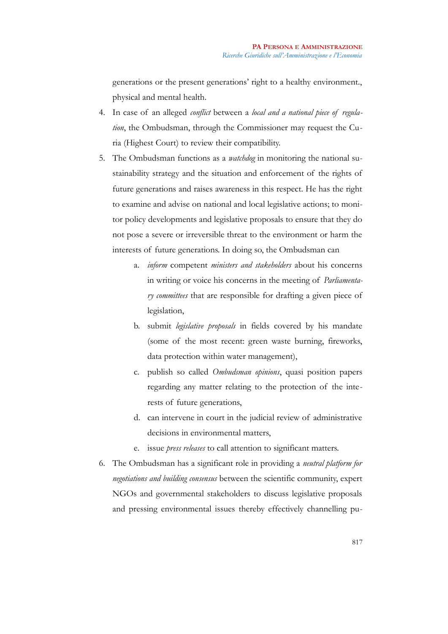generations or the present generations' right to a healthy environment., physical and mental health.

- 4. In case of an alleged *conflict* between a *local and a national piece of regulation*, the Ombudsman, through the Commissioner may request the Curia (Highest Court) to review their compatibility.
- 5. The Ombudsman functions as a *watchdog* in monitoring the national sustainability strategy and the situation and enforcement of the rights of future generations and raises awareness in this respect. He has the right to examine and advise on national and local legislative actions; to monitor policy developments and legislative proposals to ensure that they do not pose a severe or irreversible threat to the environment or harm the interests of future generations. In doing so, the Ombudsman can
	- a. *inform* competent *ministers and stakeholders* about his concerns in writing or voice his concerns in the meeting of *Parliamentary committees* that are responsible for drafting a given piece of legislation,
	- b. submit *legislative proposals* in fields covered by his mandate (some of the most recent: green waste burning, fireworks, data protection within water management),
	- c. publish so called *Ombudsman opinions*, quasi position papers regarding any matter relating to the protection of the interests of future generations,
	- d. can intervene in court in the judicial review of administrative decisions in environmental matters,
	- e. issue *press releases* to call attention to significant matters.
- 6. The Ombudsman has a significant role in providing a *neutral platform for negotiations and building consensus* between the scientific community, expert NGOs and governmental stakeholders to discuss legislative proposals and pressing environmental issues thereby effectively channelling pu-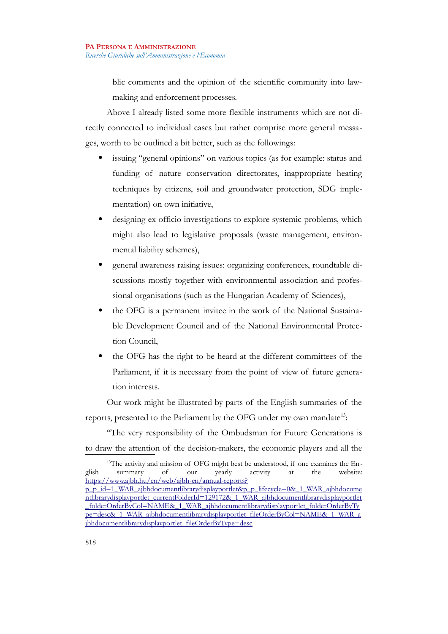blic comments and the opinion of the scientific community into lawmaking and enforcement processes.

Above I already listed some more flexible instruments which are not directly connected to individual cases but rather comprise more general messages, worth to be outlined a bit better, such as the followings:

- issuing "general opinions" on various topics (as for example: status and funding of nature conservation directorates, inappropriate heating techniques by citizens, soil and groundwater protection, SDG implementation) on own initiative,
- designing ex officio investigations to explore systemic problems, which might also lead to legislative proposals (waste management, environmental liability schemes),
- general awareness raising issues: organizing conferences, roundtable discussions mostly together with environmental association and professional organisations (such as the Hungarian Academy of Sciences),
- the OFG is a permanent invitee in the work of the National Sustainable Development Council and of the National Environmental Protection Council,
- the OFG has the right to be heard at the different committees of the Parliament, if it is necessary from the point of view of future generation interests.

Our work might be illustrated by parts of the English summaries of the reports, presented to the Parliament by the OFG under my own mandate<sup>[13](#page-11-0)</sup>:

"The very responsibility of the Ombudsman for Future Generations is to draw the attention of the decision-makers, the economic players and all the

<span id="page-11-0"></span><sup>&</sup>lt;sup>13</sup>The activity and mission of OFG might best be understood, if one examines the English summary of our yearly activity at the website: [https://www.ajbh.hu/en/web/ajbh-en/annual-reports?](https://www.ajbh.hu/en/web/ajbh-en/annual-reports?p_p_id=1_WAR_ajbhdocumentlibrarydisplayportlet&p_p_lifecycle=0&_1_WAR_ajbhdocumentlibrarydisplayportlet_currentFolderId=129172&_1_WAR_ajbhdocumentlibrarydisplayportlet_folderOrderByCol=NAME&_1_WAR_ajbhdocumentlibrarydisplayportlet_folderOrderByType=desc&_1_WAR_ajbhdocumentlibrarydisplayportlet_fileOrderByCol=NAME&_1_WAR_ajbhdocumentlibrarydisplayportlet_fileOrderByType=desc) [p\\_p\\_id=1\\_WAR\\_ajbhdocumentlibrarydisplayportlet&p\\_p\\_lifecycle=0&\\_1\\_WAR\\_ajbhdocume](https://www.ajbh.hu/en/web/ajbh-en/annual-reports?p_p_id=1_WAR_ajbhdocumentlibrarydisplayportlet&p_p_lifecycle=0&_1_WAR_ajbhdocumentlibrarydisplayportlet_currentFolderId=129172&_1_WAR_ajbhdocumentlibrarydisplayportlet_folderOrderByCol=NAME&_1_WAR_ajbhdocumentlibrarydisplayportlet_folderOrderByType=desc&_1_WAR_ajbhdocumentlibrarydisplayportlet_fileOrderByCol=NAME&_1_WAR_ajbhdocumentlibrarydisplayportlet_fileOrderByType=desc) ntlibrarydisplayportlet\_currentFolderId=129172&\_1\_WAR\_ajbhdocumentlibrarydisplayportlet \_folderOrderByCol=NAME&\_1\_WAR\_ajbhdocumentlibrarydisplayportlet\_folderOrderByTy pe=desc&\_1\_WAR\_ajbhdocumentlibrarydisplayportlet\_fileOrderByCol=NAME&\_1\_WAR\_a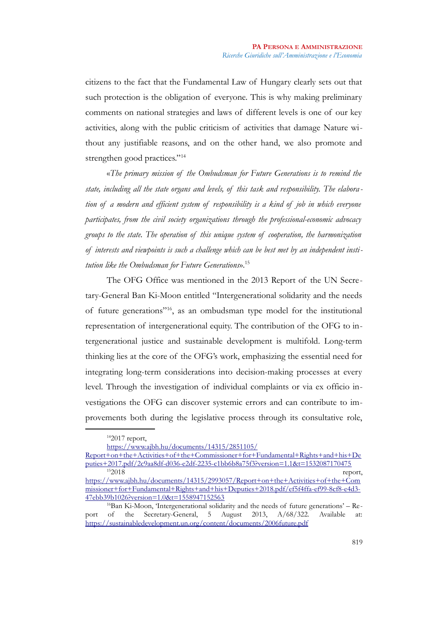citizens to the fact that the Fundamental Law of Hungary clearly sets out that such protection is the obligation of everyone. This is why making preliminary comments on national strategies and laws of different levels is one of our key activities, along with the public criticism of activities that damage Nature without any justifiable reasons, and on the other hand, we also promote and strengthen good practices."<sup>[14](#page-12-0)</sup>

«*The primary mission of the Ombudsman for Future Generations is to remind the state, including all the state organs and levels, of this task and responsibility. The elabora tion of a modern and efficient system of responsibility is a kind of job in which everyone participates, from the civil society organizations through the professional-economic advocacy groups to the state. The operation of this unique system of cooperation, the harmonization of interests and viewpoints is such a challenge which can be best met by an independent institution like the Ombudsman for Future Generations*».[15](#page-12-1)

The OFG Office was mentioned in the 2013 Report of the UN Secretary-General Ban Ki-Moon entitled "Intergenerational solidarity and the needs of future generations"[16](#page-12-2), as an ombudsman type model for the institutional representation of intergenerational equity. The contribution of the OFG to intergenerational justice and sustainable development is multifold. Long-term thinking lies at the core of the OFG's work, emphasizing the essential need for integrating long-term considerations into decision-making processes at every level. Through the investigation of individual complaints or via ex officio investigations the OFG can discover systemic errors and can contribute to improvements both during the legislative process through its consultative role,

<span id="page-12-0"></span><sup>14</sup>2017 report,

[https://www.ajbh.hu/documents/14315/2851105/](https://www.ajbh.hu/documents/14315/2851105/Report+on+the+Activities+of+the+Commissioner+for+Fundamental+Rights+and+his+Deputies+2017.pdf/2c9aa8df-d036-e2df-2235-c1bb6b8a75f3?version=1.1&t=1532087170475)

[Report+on+the+Activities+of+the+Commissioner+for+Fundamental+Rights+and+his+De](https://www.ajbh.hu/documents/14315/2851105/Report+on+the+Activities+of+the+Commissioner+for+Fundamental+Rights+and+his+Deputies+2017.pdf/2c9aa8df-d036-e2df-2235-c1bb6b8a75f3?version=1.1&t=1532087170475) [puties+2017.pdf/2c9aa8df-d036-e2df-2235-c1bb6b8a75f3?version=1.1&t=1532087170475](https://www.ajbh.hu/documents/14315/2851105/Report+on+the+Activities+of+the+Commissioner+for+Fundamental+Rights+and+his+Deputies+2017.pdf/2c9aa8df-d036-e2df-2235-c1bb6b8a75f3?version=1.1&t=1532087170475) <sup>15</sup>2018 report,

<span id="page-12-1"></span>[https://www.ajbh.hu/documents/14315/2993057/Report+on+the+Activities+of+the+Com](https://www.ajbh.hu/documents/14315/2993057/Report+on+the+Activities+of+the+Commissioner+for+Fundamental+Rights+and+his+Deputies+2018.pdf/ef5f4ffa-ef99-8cf8-e4d3-47ebb39b1026?version=1.0&t=1558947152563) [missioner+for+Fundamental+Rights+and+his+Deputies+2018.pdf/ef5f4ffa-ef99-8cf8-e4d3-](https://www.ajbh.hu/documents/14315/2993057/Report+on+the+Activities+of+the+Commissioner+for+Fundamental+Rights+and+his+Deputies+2018.pdf/ef5f4ffa-ef99-8cf8-e4d3-47ebb39b1026?version=1.0&t=1558947152563) [47ebb39b1026?version=1.0&t=1558947152563](https://www.ajbh.hu/documents/14315/2993057/Report+on+the+Activities+of+the+Commissioner+for+Fundamental+Rights+and+his+Deputies+2018.pdf/ef5f4ffa-ef99-8cf8-e4d3-47ebb39b1026?version=1.0&t=1558947152563)

<span id="page-12-2"></span><sup>16</sup>Ban Ki-Moon, 'Intergenerational solidarity and the needs of future generations' – Report of the Secretary-General, 5 August 2013, A/68/322. Available at: <https://sustainabledevelopment.un.org/content/documents/2006future.pdf>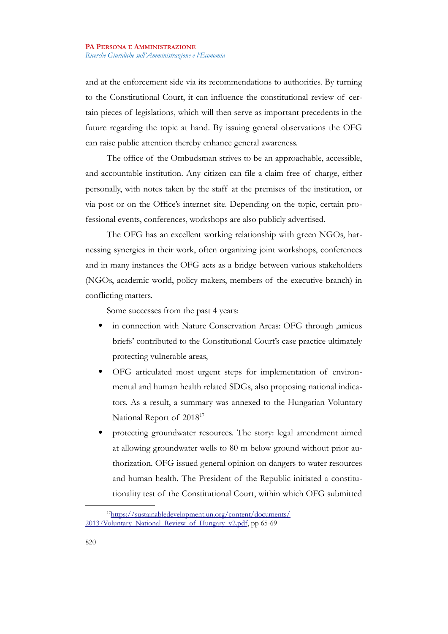and at the enforcement side via its recommendations to authorities. By turning to the Constitutional Court, it can influence the constitutional review of certain pieces of legislations, which will then serve as important precedents in the future regarding the topic at hand. By issuing general observations the OFG can raise public attention thereby enhance general awareness.

The office of the Ombudsman strives to be an approachable, accessible, and accountable institution. Any citizen can file a claim free of charge, either personally, with notes taken by the staff at the premises of the institution, or via post or on the Office's internet site. Depending on the topic, certain professional events, conferences, workshops are also publicly advertised.

The OFG has an excellent working relationship with green NGOs, harnessing synergies in their work, often organizing joint workshops, conferences and in many instances the OFG acts as a bridge between various stakeholders (NGOs, academic world, policy makers, members of the executive branch) in conflicting matters.

Some successes from the past 4 years:

- in connection with Nature Conservation Areas: OFG through ,amicus briefs' contributed to the Constitutional Court's case practice ultimately protecting vulnerable areas,
- OFG articulated most urgent steps for implementation of environmental and human health related SDGs, also proposing national indicators. As a result, a summary was annexed to the Hungarian Voluntary National Report of 2018[17](#page-13-0)
- protecting groundwater resources. The story: legal amendment aimed at allowing groundwater wells to 80 m below ground without prior authorization. OFG issued general opinion on dangers to water resources and human health. The President of the Republic initiated a constitutionality test of the Constitutional Court, within which OFG submitted

<span id="page-13-0"></span><sup>&</sup>lt;sup>17</sup>https://sustainabledevelopment.un.org/content/documents/ [20137Voluntary\\_National\\_Review\\_of\\_Hungary\\_v2.pdf,](https://sustainabledevelopment.un.org/content/documents/20137Voluntary_National_Review_of_Hungary_v2.pdf) pp 65-69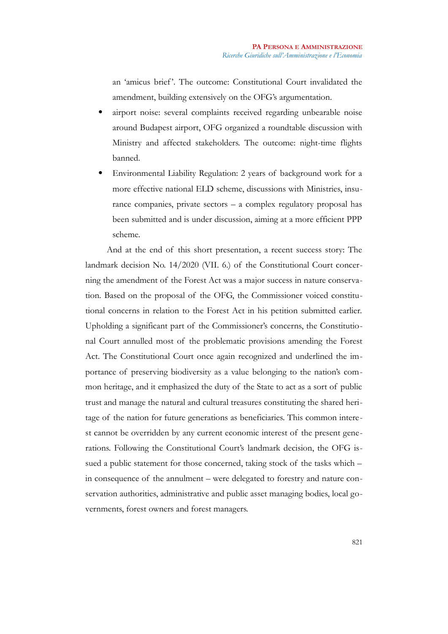an 'amicus brief '. The outcome: Constitutional Court invalidated the amendment, building extensively on the OFG's argumentation.

- airport noise: several complaints received regarding unbearable noise around Budapest airport, OFG organized a roundtable discussion with Ministry and affected stakeholders. The outcome: night-time flights banned.
- Environmental Liability Regulation: 2 years of background work for a more effective national ELD scheme, discussions with Ministries, insurance companies, private sectors – a complex regulatory proposal has been submitted and is under discussion, aiming at a more efficient PPP scheme.

And at the end of this short presentation, a recent success story: The landmark decision No. 14/2020 (VII. 6.) of the Constitutional Court concerning the amendment of the Forest Act was a major success in nature conservation. Based on the proposal of the OFG, the Commissioner voiced constitutional concerns in relation to the Forest Act in his petition submitted earlier. Upholding a significant part of the Commissioner's concerns, the Constitutional Court annulled most of the problematic provisions amending the Forest Act. The Constitutional Court once again recognized and underlined the importance of preserving biodiversity as a value belonging to the nation's common heritage, and it emphasized the duty of the State to act as a sort of public trust and manage the natural and cultural treasures constituting the shared heritage of the nation for future generations as beneficiaries. This common interest cannot be overridden by any current economic interest of the present generations. Following the Constitutional Court's landmark decision, the OFG issued a public statement for those concerned, taking stock of the tasks which – in consequence of the annulment – were delegated to forestry and nature conservation authorities, administrative and public asset managing bodies, local governments, forest owners and forest managers.